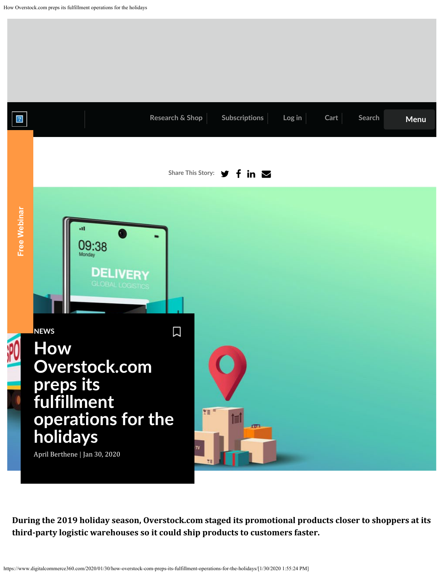<span id="page-0-0"></span>

**During the 2019 holiday season, Overstock.com staged its promotional products closer to shoppers at its**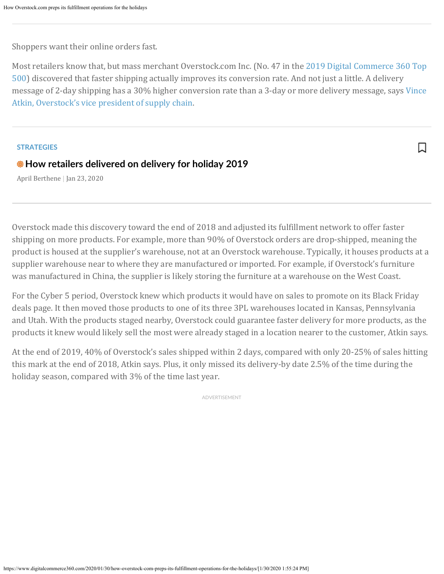Shoppers want their online orders fast.

Most retailers know that, but mass merchant Overstock.com Inc. (No. 47 in the 2019 Digital Commerce 360 Top 500) discovered that faster shipping actually improves its conversion rate. And not just a little. A delivery message of 2-day shipping has a 30% higher conversion rate than a 3-day or more delivery message, says Vince Atkin, Overstock's vice president of supply chain.

 $\overline{\phantom{a}}$ 

## **STRATEGIES**

## **How retailers delivered on delivery for holiday 2019**

April Berthene | Jan 23, 2020

Overstock made this discovery toward the end of 2018 and adjusted its fulfillment network to offer faster shipping on more products. For example, more than 90% of Overstock orders are drop-shipped, meaning the product is housed at the supplier's warehouse, not at an Overstock warehouse. Typically, it houses products at a supplier warehouse near to where they are manufactured or imported. For example, if Overstock's furniture was manufactured in China, the supplier is likely storing the furniture at a warehouse on the West Coast.

For the Cyber 5 period, Overstock knew which products it would have on sales to promote on its Black Friday deals page. It then moved those products to one of its three 3PL warehouses located in Kansas, Pennsylvania and Utah. With the products staged nearby, Overstock could guarantee faster delivery for more products, as the products it knew would likely sell the most were already staged in a location nearer to the customer, Atkin says.

At the end of 2019, 40% of Overstock's sales shipped within 2 days, compared with only 20-25% of sales hitting this mark at the end of 2018, Atkin says. Plus, it only missed its delivery-by date 2.5% of the time during the holiday season, compared with 3% of the time last year.

ADVERTISEMENT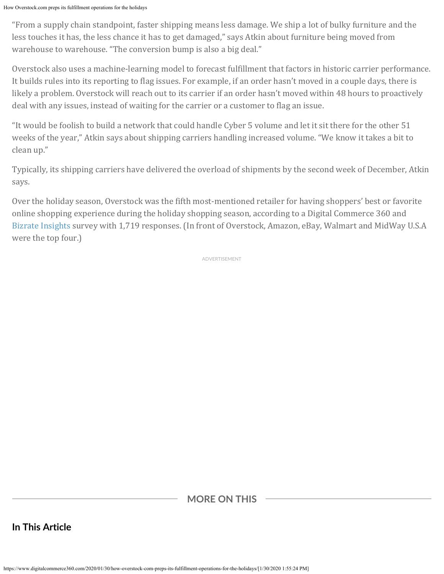"From a supply chain standpoint, faster shipping means less damage. We ship a lot of bulky furniture and the less touches it has, the less chance it has to get damaged," says Atkin about furniture being moved from warehouse to warehouse. "The conversion bump is also a big deal."

Overstock also uses a machine-learning model to forecast fulfillment that factors in historic carrier performance. It builds rules into its reporting to flag issues. For example, if an order hasn't moved in a couple days, there is likely a problem. Overstock will reach out to its carrier if an order hasn't moved within 48 hours to proactively deal with any issues, instead of waiting for the carrier or a customer to flag an issue.

"It would be foolish to build a network that could handle Cyber 5 volume and let it sit there for the other 51 weeks of the year," Atkin says about shipping carriers handling increased volume. "We know it takes a bit to clean up."

Typically, its shipping carriers have delivered the overload of shipments by the second week of December, Atkin says.

Over the holiday season, Overstock was the fifth most-mentioned retailer for having shoppers' best or favorite online shopping experience during the holiday shopping season, according to a Digital Commerce 360 and Bizrate Insights survey with 1,719 responses. (In front of Overstock, Amazon, eBay, Walmart and MidWay U.S.A were the top four.)

ADVERTISEMENT

**MORE ON THIS**

**In This Article**